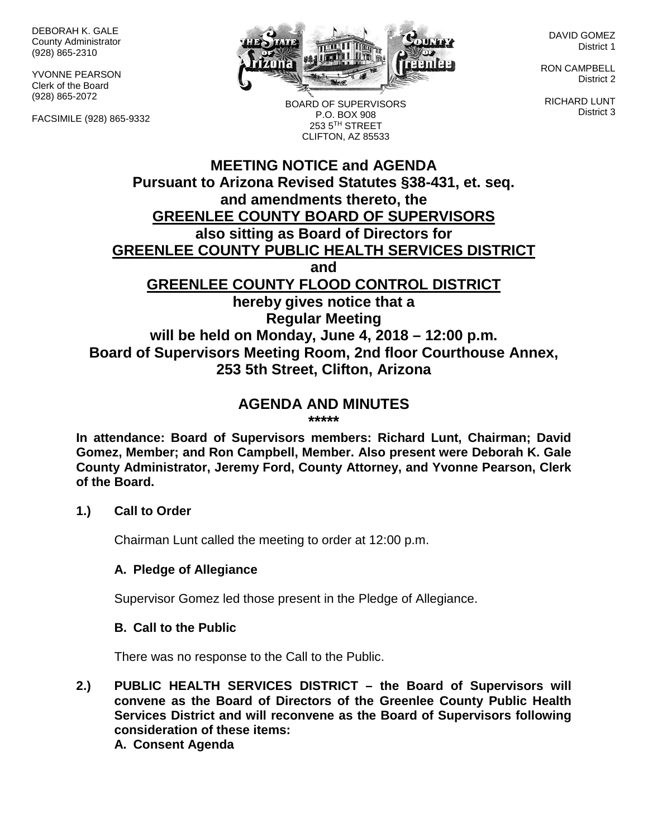DEBORAH K. GALE County Administrator (928) 865-2310

YVONNE PEARSON Clerk of the Board (928) 865-2072

FACSIMILE (928) 865-9332



DAVID GOMEZ District 1

RON CAMPBELL District 2

RICHARD LUNT District 3

BOARD OF SUPERVISORS P.O. BOX 908 253 5TH STREET CLIFTON, AZ 85533

# **MEETING NOTICE and AGENDA Pursuant to Arizona Revised Statutes §38-431, et. seq. and amendments thereto, the GREENLEE COUNTY BOARD OF SUPERVISORS also sitting as Board of Directors for GREENLEE COUNTY PUBLIC HEALTH SERVICES DISTRICT and GREENLEE COUNTY FLOOD CONTROL DISTRICT hereby gives notice that a Regular Meeting will be held on Monday, June 4, 2018 – 12:00 p.m. Board of Supervisors Meeting Room, 2nd floor Courthouse Annex, 253 5th Street, Clifton, Arizona**

# **AGENDA AND MINUTES**

**\*\*\*\*\***

**In attendance: Board of Supervisors members: Richard Lunt, Chairman; David Gomez, Member; and Ron Campbell, Member. Also present were Deborah K. Gale County Administrator, Jeremy Ford, County Attorney, and Yvonne Pearson, Clerk of the Board.**

#### **1.) Call to Order**

Chairman Lunt called the meeting to order at 12:00 p.m.

## **A. Pledge of Allegiance**

Supervisor Gomez led those present in the Pledge of Allegiance.

#### **B. Call to the Public**

There was no response to the Call to the Public.

**2.) PUBLIC HEALTH SERVICES DISTRICT – the Board of Supervisors will convene as the Board of Directors of the Greenlee County Public Health Services District and will reconvene as the Board of Supervisors following consideration of these items:**

**A. Consent Agenda**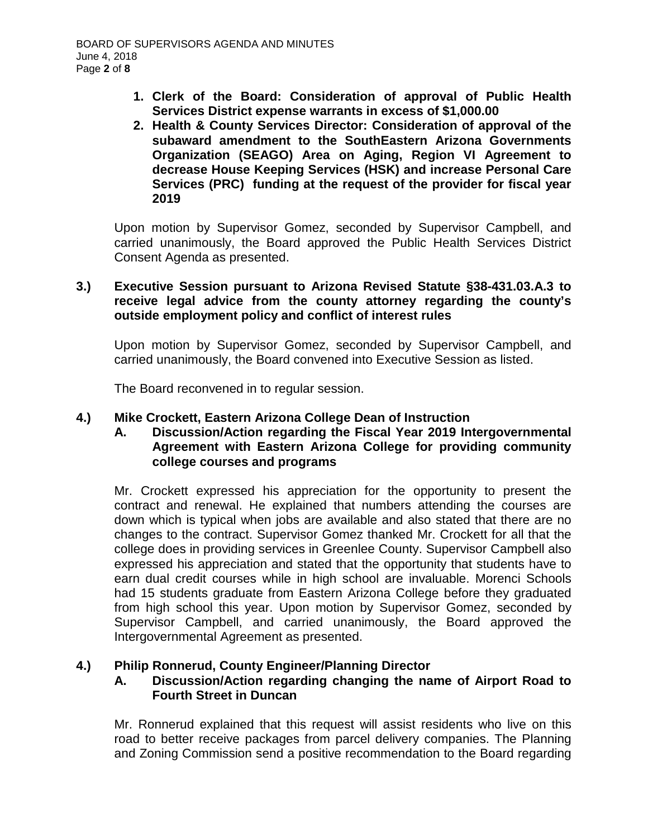- **1. Clerk of the Board: Consideration of approval of Public Health Services District expense warrants in excess of \$1,000.00**
- **2. Health & County Services Director: Consideration of approval of the subaward amendment to the SouthEastern Arizona Governments Organization (SEAGO) Area on Aging, Region VI Agreement to decrease House Keeping Services (HSK) and increase Personal Care Services (PRC) funding at the request of the provider for fiscal year 2019**

Upon motion by Supervisor Gomez, seconded by Supervisor Campbell, and carried unanimously, the Board approved the Public Health Services District Consent Agenda as presented.

## **3.) Executive Session pursuant to Arizona Revised Statute §38-431.03.A.3 to receive legal advice from the county attorney regarding the county's outside employment policy and conflict of interest rules**

Upon motion by Supervisor Gomez, seconded by Supervisor Campbell, and carried unanimously, the Board convened into Executive Session as listed.

The Board reconvened in to regular session.

## **4.) Mike Crockett, Eastern Arizona College Dean of Instruction**

## **A. Discussion/Action regarding the Fiscal Year 2019 Intergovernmental Agreement with Eastern Arizona College for providing community college courses and programs**

Mr. Crockett expressed his appreciation for the opportunity to present the contract and renewal. He explained that numbers attending the courses are down which is typical when jobs are available and also stated that there are no changes to the contract. Supervisor Gomez thanked Mr. Crockett for all that the college does in providing services in Greenlee County. Supervisor Campbell also expressed his appreciation and stated that the opportunity that students have to earn dual credit courses while in high school are invaluable. Morenci Schools had 15 students graduate from Eastern Arizona College before they graduated from high school this year. Upon motion by Supervisor Gomez, seconded by Supervisor Campbell, and carried unanimously, the Board approved the Intergovernmental Agreement as presented.

## **4.) Philip Ronnerud, County Engineer/Planning Director**

## **A. Discussion/Action regarding changing the name of Airport Road to Fourth Street in Duncan**

Mr. Ronnerud explained that this request will assist residents who live on this road to better receive packages from parcel delivery companies. The Planning and Zoning Commission send a positive recommendation to the Board regarding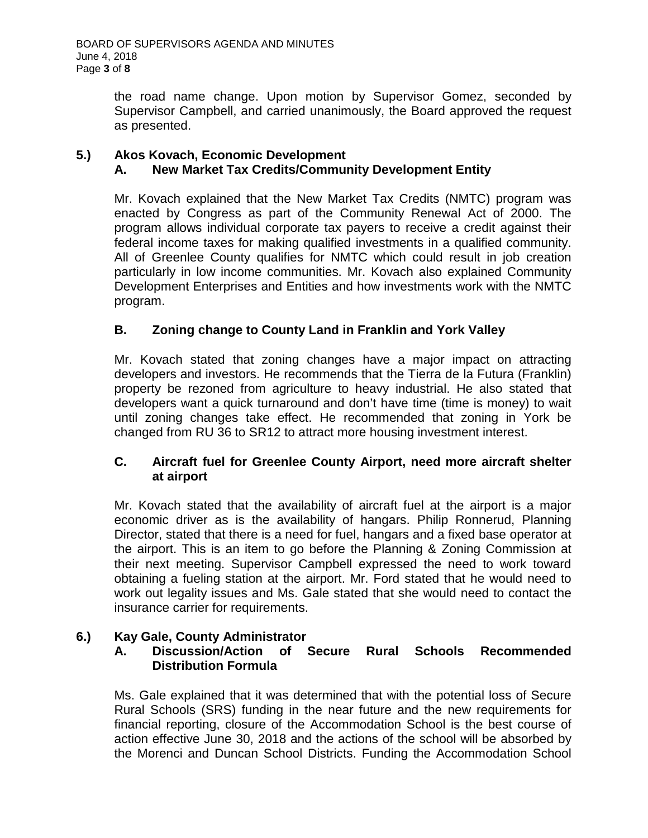the road name change. Upon motion by Supervisor Gomez, seconded by Supervisor Campbell, and carried unanimously, the Board approved the request as presented.

## **5.) Akos Kovach, Economic Development A. New Market Tax Credits/Community Development Entity**

Mr. Kovach explained that the New Market Tax Credits (NMTC) program was enacted by Congress as part of the Community Renewal Act of 2000. The program allows individual corporate tax payers to receive a credit against their federal income taxes for making qualified investments in a qualified community. All of Greenlee County qualifies for NMTC which could result in job creation particularly in low income communities. Mr. Kovach also explained Community Development Enterprises and Entities and how investments work with the NMTC program.

# **B. Zoning change to County Land in Franklin and York Valley**

Mr. Kovach stated that zoning changes have a major impact on attracting developers and investors. He recommends that the Tierra de la Futura (Franklin) property be rezoned from agriculture to heavy industrial. He also stated that developers want a quick turnaround and don't have time (time is money) to wait until zoning changes take effect. He recommended that zoning in York be changed from RU 36 to SR12 to attract more housing investment interest.

# **C. Aircraft fuel for Greenlee County Airport, need more aircraft shelter at airport**

Mr. Kovach stated that the availability of aircraft fuel at the airport is a major economic driver as is the availability of hangars. Philip Ronnerud, Planning Director, stated that there is a need for fuel, hangars and a fixed base operator at the airport. This is an item to go before the Planning & Zoning Commission at their next meeting. Supervisor Campbell expressed the need to work toward obtaining a fueling station at the airport. Mr. Ford stated that he would need to work out legality issues and Ms. Gale stated that she would need to contact the insurance carrier for requirements.

# **6.) Kay Gale, County Administrator**

# **A. Discussion/Action of Secure Rural Schools Recommended Distribution Formula**

Ms. Gale explained that it was determined that with the potential loss of Secure Rural Schools (SRS) funding in the near future and the new requirements for financial reporting, closure of the Accommodation School is the best course of action effective June 30, 2018 and the actions of the school will be absorbed by the Morenci and Duncan School Districts. Funding the Accommodation School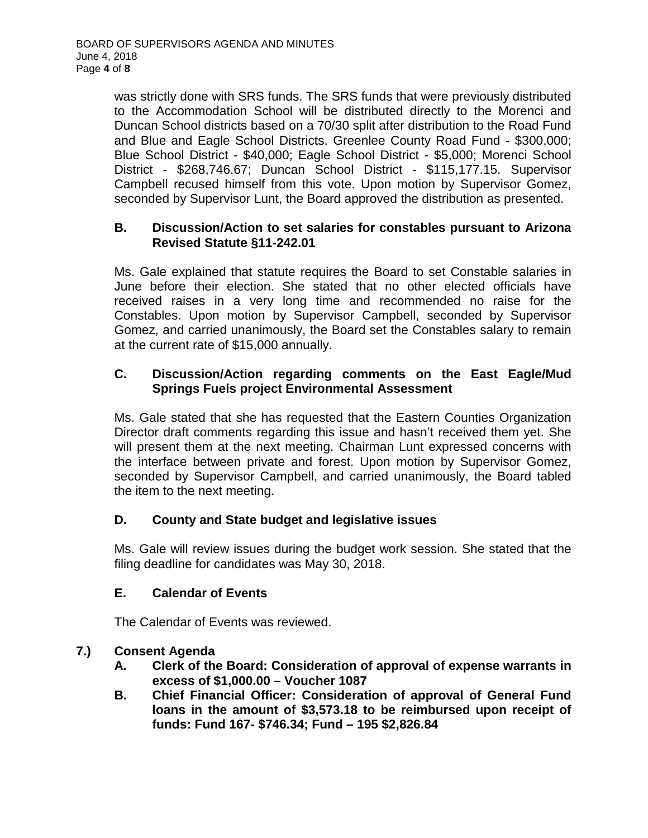was strictly done with SRS funds. The SRS funds that were previously distributed to the Accommodation School will be distributed directly to the Morenci and Duncan School districts based on a 70/30 split after distribution to the Road Fund and Blue and Eagle School Districts. Greenlee County Road Fund - \$300,000; Blue School District - \$40,000; Eagle School District - \$5,000; Morenci School District - \$268,746.67; Duncan School District - \$115,177.15. Supervisor Campbell recused himself from this vote. Upon motion by Supervisor Gomez, seconded by Supervisor Lunt, the Board approved the distribution as presented.

#### **B. Discussion/Action to set salaries for constables pursuant to Arizona Revised Statute §11-242.01**

Ms. Gale explained that statute requires the Board to set Constable salaries in June before their election. She stated that no other elected officials have received raises in a very long time and recommended no raise for the Constables. Upon motion by Supervisor Campbell, seconded by Supervisor Gomez, and carried unanimously, the Board set the Constables salary to remain at the current rate of \$15,000 annually.

# **C. Discussion/Action regarding comments on the East Eagle/Mud Springs Fuels project Environmental Assessment**

Ms. Gale stated that she has requested that the Eastern Counties Organization Director draft comments regarding this issue and hasn't received them yet. She will present them at the next meeting. Chairman Lunt expressed concerns with the interface between private and forest. Upon motion by Supervisor Gomez, seconded by Supervisor Campbell, and carried unanimously, the Board tabled the item to the next meeting.

# **D. County and State budget and legislative issues**

Ms. Gale will review issues during the budget work session. She stated that the filing deadline for candidates was May 30, 2018.

## **E. Calendar of Events**

The Calendar of Events was reviewed.

## **7.) Consent Agenda**

- **A. Clerk of the Board: Consideration of approval of expense warrants in excess of \$1,000.00 – Voucher 1087**
- **B. Chief Financial Officer: Consideration of approval of General Fund loans in the amount of \$3,573.18 to be reimbursed upon receipt of funds: Fund 167- \$746.34; Fund – 195 \$2,826.84**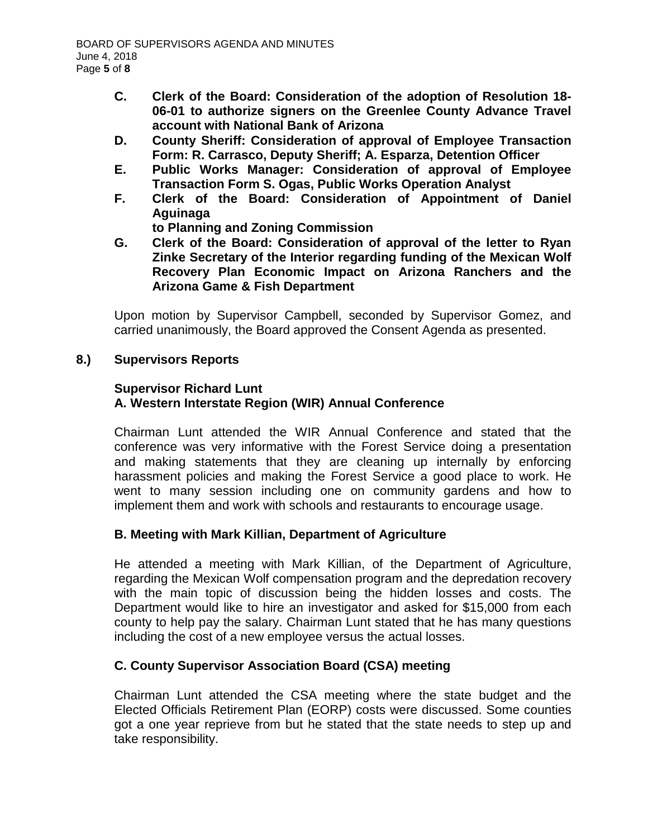- **C. Clerk of the Board: Consideration of the adoption of Resolution 18- 06-01 to authorize signers on the Greenlee County Advance Travel account with National Bank of Arizona**
- **D. County Sheriff: Consideration of approval of Employee Transaction Form: R. Carrasco, Deputy Sheriff; A. Esparza, Detention Officer**
- **E. Public Works Manager: Consideration of approval of Employee Transaction Form S. Ogas, Public Works Operation Analyst**
- **F. Clerk of the Board: Consideration of Appointment of Daniel Aguinaga**
	- **to Planning and Zoning Commission**
- **G. Clerk of the Board: Consideration of approval of the letter to Ryan Zinke Secretary of the Interior regarding funding of the Mexican Wolf Recovery Plan Economic Impact on Arizona Ranchers and the Arizona Game & Fish Department**

Upon motion by Supervisor Campbell, seconded by Supervisor Gomez, and carried unanimously, the Board approved the Consent Agenda as presented.

# **8.) Supervisors Reports**

#### **Supervisor Richard Lunt A. Western Interstate Region (WIR) Annual Conference**

Chairman Lunt attended the WIR Annual Conference and stated that the conference was very informative with the Forest Service doing a presentation and making statements that they are cleaning up internally by enforcing harassment policies and making the Forest Service a good place to work. He went to many session including one on community gardens and how to implement them and work with schools and restaurants to encourage usage.

# **B. Meeting with Mark Killian, Department of Agriculture**

He attended a meeting with Mark Killian, of the Department of Agriculture, regarding the Mexican Wolf compensation program and the depredation recovery with the main topic of discussion being the hidden losses and costs. The Department would like to hire an investigator and asked for \$15,000 from each county to help pay the salary. Chairman Lunt stated that he has many questions including the cost of a new employee versus the actual losses.

# **C. County Supervisor Association Board (CSA) meeting**

Chairman Lunt attended the CSA meeting where the state budget and the Elected Officials Retirement Plan (EORP) costs were discussed. Some counties got a one year reprieve from but he stated that the state needs to step up and take responsibility.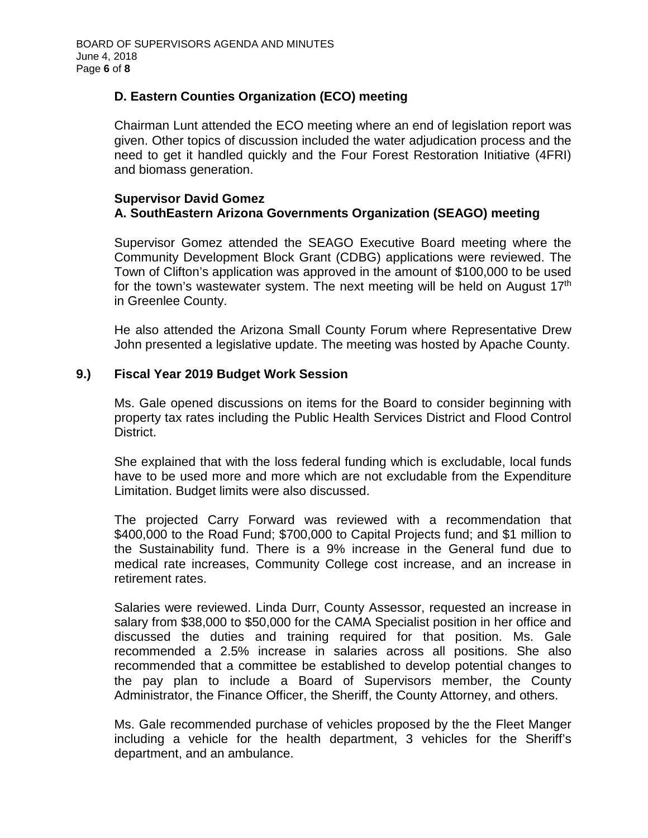# **D. Eastern Counties Organization (ECO) meeting**

Chairman Lunt attended the ECO meeting where an end of legislation report was given. Other topics of discussion included the water adjudication process and the need to get it handled quickly and the Four Forest Restoration Initiative (4FRI) and biomass generation.

#### **Supervisor David Gomez A. SouthEastern Arizona Governments Organization (SEAGO) meeting**

Supervisor Gomez attended the SEAGO Executive Board meeting where the Community Development Block Grant (CDBG) applications were reviewed. The Town of Clifton's application was approved in the amount of \$100,000 to be used for the town's wastewater system. The next meeting will be held on August 17<sup>th</sup> in Greenlee County.

He also attended the Arizona Small County Forum where Representative Drew John presented a legislative update. The meeting was hosted by Apache County.

## **9.) Fiscal Year 2019 Budget Work Session**

Ms. Gale opened discussions on items for the Board to consider beginning with property tax rates including the Public Health Services District and Flood Control District.

She explained that with the loss federal funding which is excludable, local funds have to be used more and more which are not excludable from the Expenditure Limitation. Budget limits were also discussed.

The projected Carry Forward was reviewed with a recommendation that \$400,000 to the Road Fund; \$700,000 to Capital Projects fund; and \$1 million to the Sustainability fund. There is a 9% increase in the General fund due to medical rate increases, Community College cost increase, and an increase in retirement rates.

Salaries were reviewed. Linda Durr, County Assessor, requested an increase in salary from \$38,000 to \$50,000 for the CAMA Specialist position in her office and discussed the duties and training required for that position. Ms. Gale recommended a 2.5% increase in salaries across all positions. She also recommended that a committee be established to develop potential changes to the pay plan to include a Board of Supervisors member, the County Administrator, the Finance Officer, the Sheriff, the County Attorney, and others.

Ms. Gale recommended purchase of vehicles proposed by the the Fleet Manger including a vehicle for the health department, 3 vehicles for the Sheriff's department, and an ambulance.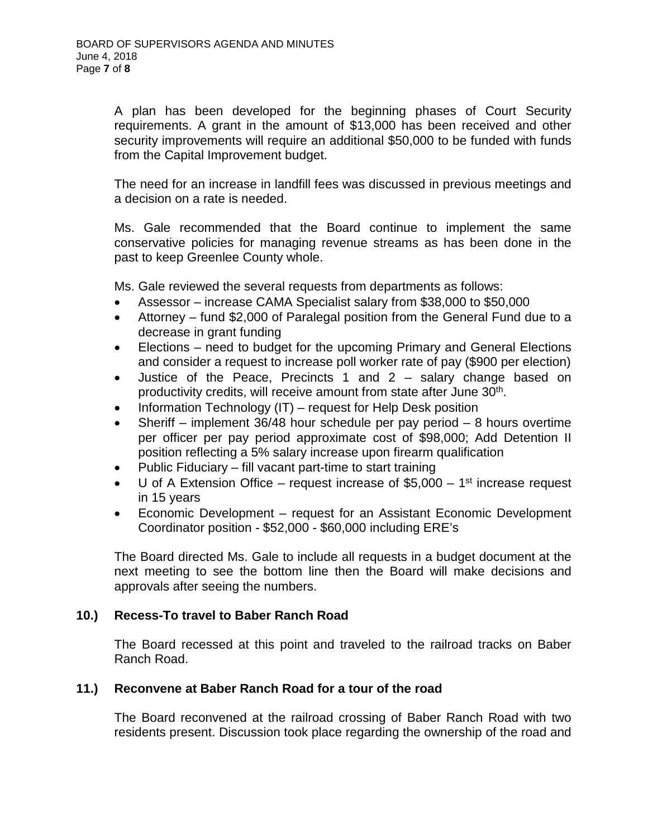A plan has been developed for the beginning phases of Court Security requirements. A grant in the amount of \$13,000 has been received and other security improvements will require an additional \$50,000 to be funded with funds from the Capital Improvement budget.

The need for an increase in landfill fees was discussed in previous meetings and a decision on a rate is needed.

Ms. Gale recommended that the Board continue to implement the same conservative policies for managing revenue streams as has been done in the past to keep Greenlee County whole.

Ms. Gale reviewed the several requests from departments as follows:

- Assessor increase CAMA Specialist salary from \$38,000 to \$50,000
- Attorney fund \$2,000 of Paralegal position from the General Fund due to a decrease in grant funding
- Elections need to budget for the upcoming Primary and General Elections and consider a request to increase poll worker rate of pay (\$900 per election)
- Justice of the Peace, Precincts 1 and 2 salary change based on productivity credits, will receive amount from state after June 30<sup>th</sup>.
- Information Technology (IT) request for Help Desk position
- Sheriff implement  $36/48$  hour schedule per pay period 8 hours overtime per officer per pay period approximate cost of \$98,000; Add Detention II position reflecting a 5% salary increase upon firearm qualification
- Public Fiduciary fill vacant part-time to start training
- U of A Extension Office request increase of  $$5,000 1<sup>st</sup>$  increase request in 15 years
- Economic Development request for an Assistant Economic Development Coordinator position - \$52,000 - \$60,000 including ERE's

The Board directed Ms. Gale to include all requests in a budget document at the next meeting to see the bottom line then the Board will make decisions and approvals after seeing the numbers.

## **10.) Recess-To travel to Baber Ranch Road**

The Board recessed at this point and traveled to the railroad tracks on Baber Ranch Road.

## **11.) Reconvene at Baber Ranch Road for a tour of the road**

The Board reconvened at the railroad crossing of Baber Ranch Road with two residents present. Discussion took place regarding the ownership of the road and